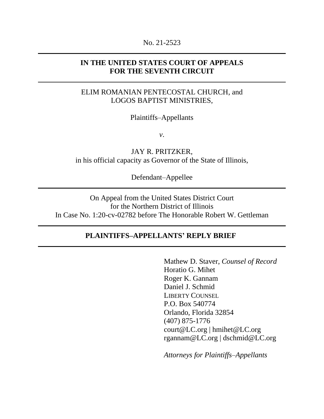#### No. 21-2523

### **IN THE UNITED STATES COURT OF APPEALS FOR THE SEVENTH CIRCUIT**

## ELIM ROMANIAN PENTECOSTAL CHURCH, and LOGOS BAPTIST MINISTRIES,

Plaintiffs–Appellants

*v*.

JAY R. PRITZKER, in his official capacity as Governor of the State of Illinois,

Defendant–Appellee

On Appeal from the United States District Court for the Northern District of Illinois In Case No. 1:20-cv-02782 before The Honorable Robert W. Gettleman

#### **PLAINTIFFS–APPELLANTS' REPLY BRIEF**

Mathew D. Staver, *Counsel of Record* Horatio G. Mihet Roger K. Gannam Daniel J. Schmid LIBERTY COUNSEL P.O. Box 540774 Orlando, Florida 32854 (407) 875-1776 court@LC.org | hmihet@LC.org rgannam@LC.org | dschmid@LC.org

*Attorneys for Plaintiffs–Appellants*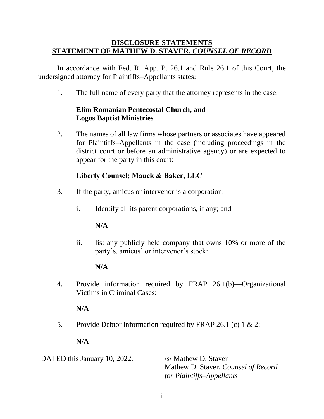### **DISCLOSURE STATEMENTS STATEMENT OF MATHEW D. STAVER,** *COUNSEL OF RECORD*

In accordance with Fed. R. App. P. 26.1 and Rule 26.1 of this Court, the undersigned attorney for Plaintiffs–Appellants states:

1. The full name of every party that the attorney represents in the case:

## **Elim Romanian Pentecostal Church, and Logos Baptist Ministries**

2. The names of all law firms whose partners or associates have appeared for Plaintiffs–Appellants in the case (including proceedings in the district court or before an administrative agency) or are expected to appear for the party in this court:

### **Liberty Counsel; Mauck & Baker, LLC**

- 3. If the party, amicus or intervenor is a corporation:
	- i. Identify all its parent corporations, if any; and

### **N/A**

ii. list any publicly held company that owns 10% or more of the party's, amicus' or intervenor's stock:

### **N/A**

4. Provide information required by FRAP 26.1(b)—Organizational Victims in Criminal Cases:

### **N/A**

5. Provide Debtor information required by FRAP 26.1 (c) 1 & 2:

### **N/A**

DATED this January 10, 2022.  $\frac{\text{ss}}{\text{M}}$  Mathew D. Staver

Mathew D. Staver, *Counsel of Record for Plaintiffs–Appellants*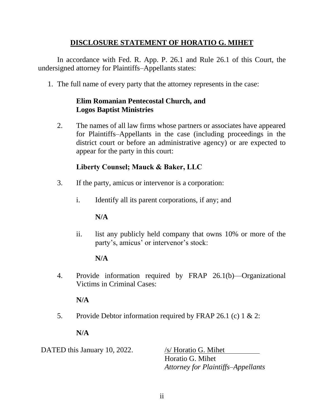## **DISCLOSURE STATEMENT OF HORATIO G. MIHET**

In accordance with Fed. R. App. P. 26.1 and Rule 26.1 of this Court, the undersigned attorney for Plaintiffs–Appellants states:

1. The full name of every party that the attorney represents in the case:

### **Elim Romanian Pentecostal Church, and Logos Baptist Ministries**

2. The names of all law firms whose partners or associates have appeared for Plaintiffs–Appellants in the case (including proceedings in the district court or before an administrative agency) or are expected to appear for the party in this court:

# **Liberty Counsel; Mauck & Baker, LLC**

- 3. If the party, amicus or intervenor is a corporation:
	- i. Identify all its parent corporations, if any; and

## **N/A**

ii. list any publicly held company that owns 10% or more of the party's, amicus' or intervenor's stock:

## **N/A**

4. Provide information required by FRAP 26.1(b)—Organizational Victims in Criminal Cases:

## **N/A**

5. Provide Debtor information required by FRAP 26.1 (c) 1 & 2:

## **N/A**

DATED this January 10, 2022. /s/ Horatio G. Mihet

Horatio G. Mihet *Attorney for Plaintiffs–Appellants*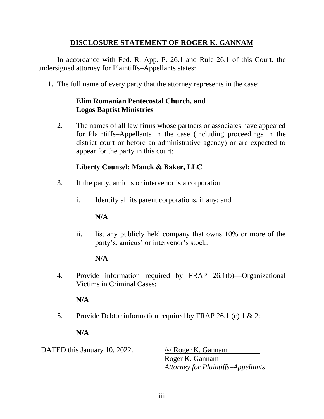## **DISCLOSURE STATEMENT OF ROGER K. GANNAM**

In accordance with Fed. R. App. P. 26.1 and Rule 26.1 of this Court, the undersigned attorney for Plaintiffs–Appellants states:

1. The full name of every party that the attorney represents in the case:

### **Elim Romanian Pentecostal Church, and Logos Baptist Ministries**

2. The names of all law firms whose partners or associates have appeared for Plaintiffs–Appellants in the case (including proceedings in the district court or before an administrative agency) or are expected to appear for the party in this court:

# **Liberty Counsel; Mauck & Baker, LLC**

- 3. If the party, amicus or intervenor is a corporation:
	- i. Identify all its parent corporations, if any; and

## **N/A**

ii. list any publicly held company that owns 10% or more of the party's, amicus' or intervenor's stock:

## **N/A**

4. Provide information required by FRAP 26.1(b)—Organizational Victims in Criminal Cases:

## **N/A**

5. Provide Debtor information required by FRAP 26.1 (c) 1 & 2:

## **N/A**

DATED this January 10, 2022. /s/ Roger K. Gannam Roger K. Gannam *Attorney for Plaintiffs–Appellants*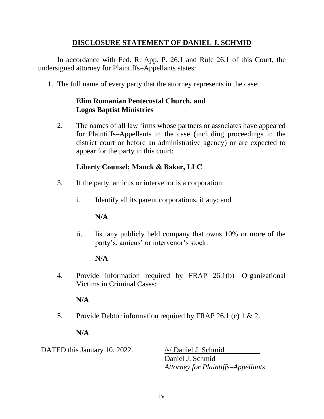## **DISCLOSURE STATEMENT OF DANIEL J. SCHMID**

In accordance with Fed. R. App. P. 26.1 and Rule 26.1 of this Court, the undersigned attorney for Plaintiffs–Appellants states:

1. The full name of every party that the attorney represents in the case:

### **Elim Romanian Pentecostal Church, and Logos Baptist Ministries**

2. The names of all law firms whose partners or associates have appeared for Plaintiffs–Appellants in the case (including proceedings in the district court or before an administrative agency) or are expected to appear for the party in this court:

# **Liberty Counsel; Mauck & Baker, LLC**

- 3. If the party, amicus or intervenor is a corporation:
	- i. Identify all its parent corporations, if any; and

## **N/A**

ii. list any publicly held company that owns 10% or more of the party's, amicus' or intervenor's stock:

# **N/A**

4. Provide information required by FRAP 26.1(b)—Organizational Victims in Criminal Cases:

# **N/A**

5. Provide Debtor information required by FRAP 26.1 (c) 1 & 2:

# **N/A**

DATED this January 10, 2022. /s/ Daniel J. Schmid

Daniel J. Schmid *Attorney for Plaintiffs–Appellants*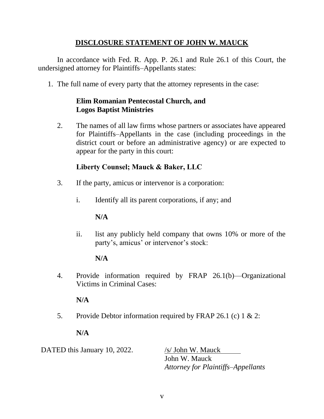## **DISCLOSURE STATEMENT OF JOHN W. MAUCK**

In accordance with Fed. R. App. P. 26.1 and Rule 26.1 of this Court, the undersigned attorney for Plaintiffs–Appellants states:

1. The full name of every party that the attorney represents in the case:

### **Elim Romanian Pentecostal Church, and Logos Baptist Ministries**

2. The names of all law firms whose partners or associates have appeared for Plaintiffs–Appellants in the case (including proceedings in the district court or before an administrative agency) or are expected to appear for the party in this court:

# **Liberty Counsel; Mauck & Baker, LLC**

- 3. If the party, amicus or intervenor is a corporation:
	- i. Identify all its parent corporations, if any; and

## **N/A**

ii. list any publicly held company that owns 10% or more of the party's, amicus' or intervenor's stock:

# **N/A**

4. Provide information required by FRAP 26.1(b)—Organizational Victims in Criminal Cases:

## **N/A**

5. Provide Debtor information required by FRAP 26.1 (c) 1 & 2:

# **N/A**

DATED this January 10, 2022. /s/ John W. Mauck

John W. Mauck *Attorney for Plaintiffs–Appellants*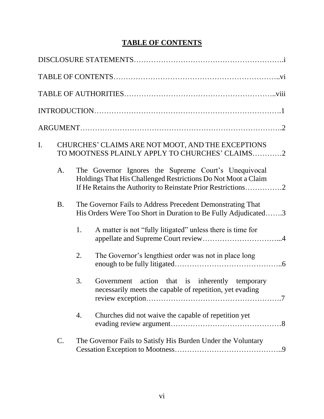# **TABLE OF CONTENTS**

| I. | CHURCHES' CLAIMS ARE NOT MOOT, AND THE EXCEPTIONS<br>TO MOOTNESS PLAINLY APPLY TO CHURCHES' CLAIMS2 |    |                                                                                                                                                                                       |
|----|-----------------------------------------------------------------------------------------------------|----|---------------------------------------------------------------------------------------------------------------------------------------------------------------------------------------|
|    | A.                                                                                                  |    | The Governor Ignores the Supreme Court's Unequivocal<br>Holdings That His Challenged Restrictions Do Not Moot a Claim<br>If He Retains the Authority to Reinstate Prior Restrictions2 |
|    | <b>B.</b>                                                                                           |    | The Governor Fails to Address Precedent Demonstrating That<br>His Orders Were Too Short in Duration to Be Fully Adjudicated3                                                          |
|    |                                                                                                     | 1. | A matter is not "fully litigated" unless there is time for                                                                                                                            |
|    |                                                                                                     | 2. | The Governor's lengthiest order was not in place long                                                                                                                                 |
|    |                                                                                                     | 3. | Government action that is inherently temporary<br>necessarily meets the capable of repetition, yet evading                                                                            |
|    |                                                                                                     | 4. | Churches did not waive the capable of repetition yet                                                                                                                                  |
|    | $C$ .                                                                                               |    | The Governor Fails to Satisfy His Burden Under the Voluntary                                                                                                                          |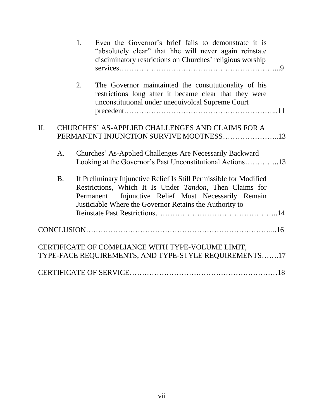|     |           | 1. | Even the Governor's brief fails to demonstrate it is<br>"absolutely clear" that hhe will never again reinstate<br>disciminatory restrictions on Churches' religious worship                                                                     |  |
|-----|-----------|----|-------------------------------------------------------------------------------------------------------------------------------------------------------------------------------------------------------------------------------------------------|--|
|     |           | 2. | The Governor maintainted the constitutionality of his<br>restrictions long after it became clear that they were<br>unconstitutional under unequivolcal Supreme Court                                                                            |  |
|     |           |    |                                                                                                                                                                                                                                                 |  |
| II. |           |    | CHURCHES' AS-APPLIED CHALLENGES AND CLAIMS FOR A                                                                                                                                                                                                |  |
|     |           |    | PERMANENT INJUNCTION SURVIVE MOOTNESS13                                                                                                                                                                                                         |  |
|     | A.        |    | Churches' As-Applied Challenges Are Necessarily Backward<br>Looking at the Governor's Past Unconstitutional Actions13                                                                                                                           |  |
|     | <b>B.</b> |    | If Preliminary Injunctive Relief Is Still Permissible for Modified<br>Restrictions, Which It Is Under Tandon, Then Claims for<br>Permanent Injunctive Relief Must Necessarily Remain<br>Justiciable Where the Governor Retains the Authority to |  |
|     |           |    |                                                                                                                                                                                                                                                 |  |
|     |           |    | CERTIFICATE OF COMPLIANCE WITH TYPE-VOLUME LIMIT,                                                                                                                                                                                               |  |
|     |           |    | TYPE-FACE REQUIREMENTS, AND TYPE-STYLE REQUIREMENTS17                                                                                                                                                                                           |  |
|     |           |    |                                                                                                                                                                                                                                                 |  |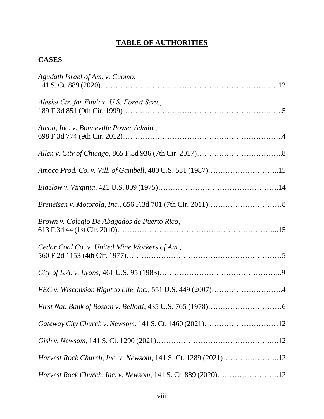# **TABLE OF AUTHORITIES**

## **CASES**

| Agudath Israel of Am. v. Cuomo,                               |  |
|---------------------------------------------------------------|--|
| Alaska Ctr. for Env't v. U.S. Forest Serv.,                   |  |
| Alcoa, Inc. v. Bonneville Power Admin.,                       |  |
|                                                               |  |
| Amoco Prod. Co. v. Vill. of Gambell, 480 U.S. 531 (1987)15    |  |
|                                                               |  |
|                                                               |  |
| Brown v. Colegio De Abagados de Puerto Rico,                  |  |
| Cedar Coal Co. v. United Mine Workers of Am.,                 |  |
|                                                               |  |
| FEC v. Wisconsion Right to Life, Inc., 551 U.S. 449 (2007)4   |  |
|                                                               |  |
|                                                               |  |
|                                                               |  |
| Harvest Rock Church, Inc. v. Newsom, 141 S. Ct. 1289 (2021)12 |  |
| Harvest Rock Church, Inc. v. Newsom, 141 S. Ct. 889 (2020)12  |  |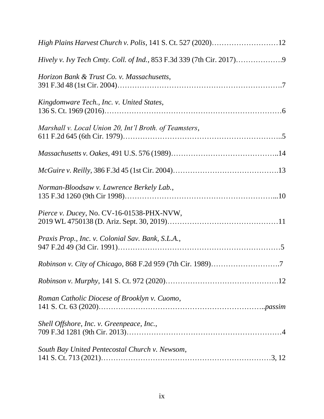| High Plains Harvest Church v. Polis, 141 S. Ct. 527 (2020)12 |  |
|--------------------------------------------------------------|--|
|                                                              |  |
| Horizon Bank & Trust Co. v. Massachusetts,                   |  |
| Kingdomware Tech., Inc. v. United States,                    |  |
| Marshall v. Local Union 20, Int'l Broth. of Teamsters,       |  |
|                                                              |  |
|                                                              |  |
| Norman-Bloodsaw v. Lawrence Berkely Lab.,                    |  |
| Pierce v. Ducey, No. CV-16-01538-PHX-NVW,                    |  |
| Praxis Prop., Inc. v. Colonial Sav. Bank, S.L.A.,            |  |
|                                                              |  |
|                                                              |  |
| Roman Catholic Diocese of Brooklyn v. Cuomo,                 |  |
| Shell Offshore, Inc. v. Greenpeace, Inc.,                    |  |
| South Bay United Pentecostal Church v. Newsom,               |  |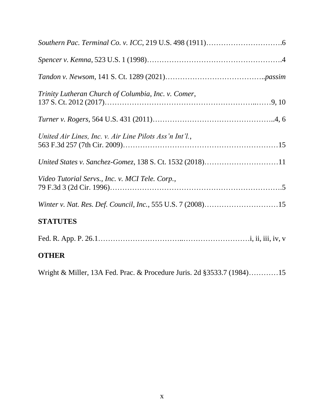| Trinity Lutheran Church of Columbia, Inc. v. Comer,     |
|---------------------------------------------------------|
|                                                         |
| United Air Lines, Inc. v. Air Line Pilots Ass'n Int'l., |
|                                                         |
| Video Tutorial Servs., Inc. v. MCI Tele. Corp.,         |
|                                                         |
| <b>STATUTES</b>                                         |
|                                                         |
| <b>OTHER</b>                                            |

Wright & Miller, 13A Fed. Prac. & Procedure Juris. 2d §3533.7 (1984)…………15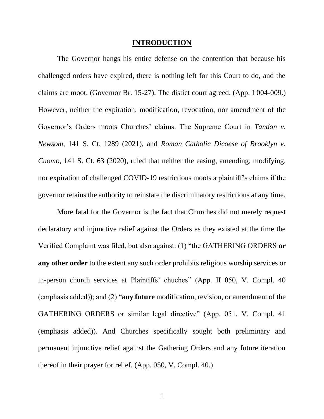#### **INTRODUCTION**

The Governor hangs his entire defense on the contention that because his challenged orders have expired, there is nothing left for this Court to do, and the claims are moot. (Governor Br. 15-27). The distict court agreed. (App. I 004-009.) However, neither the expiration, modification, revocation, nor amendment of the Governor's Orders moots Churches' claims. The Supreme Court in *Tandon v. Newsom*, 141 S. Ct. 1289 (2021), and *Roman Catholic Dicoese of Brooklyn v. Cuomo*, 141 S. Ct. 63 (2020), ruled that neither the easing, amending, modifying, nor expiration of challenged COVID-19 restrictions moots a plaintiff's claims if the governor retains the authority to reinstate the discriminatory restrictions at any time.

More fatal for the Governor is the fact that Churches did not merely request declaratory and injunctive relief against the Orders as they existed at the time the Verified Complaint was filed, but also against: (1) "the GATHERING ORDERS **or any other order** to the extent any such order prohibits religious worship services or in-person church services at Plaintiffs' chuches" (App. II 050, V. Compl. 40 (emphasis added)); and (2) "**any future** modification, revision, or amendment of the GATHERING ORDERS or similar legal directive" (App. 051, V. Compl. 41 (emphasis added)). And Churches specifically sought both preliminary and permanent injunctive relief against the Gathering Orders and any future iteration thereof in their prayer for relief. (App. 050, V. Compl. 40.)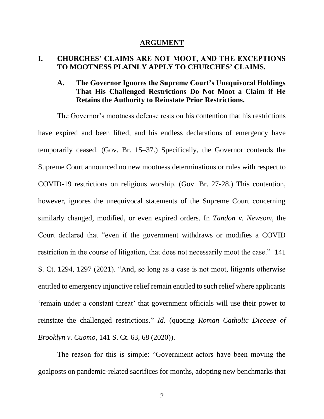#### **ARGUMENT**

#### **I. CHURCHES' CLAIMS ARE NOT MOOT, AND THE EXCEPTIONS TO MOOTNESS PLAINLY APPLY TO CHURCHES' CLAIMS.**

### **A. The Governor Ignores the Supreme Court's Unequivocal Holdings That His Challenged Restrictions Do Not Moot a Claim if He Retains the Authority to Reinstate Prior Restrictions.**

The Governor's mootness defense rests on his contention that his restrictions have expired and been lifted, and his endless declarations of emergency have temporarily ceased. (Gov. Br. 15–37.) Specifically, the Governor contends the Supreme Court announced no new mootness determinations or rules with respect to COVID-19 restrictions on religious worship. (Gov. Br. 27-28.) This contention, however, ignores the unequivocal statements of the Supreme Court concerning similarly changed, modified, or even expired orders. In *Tandon v. Newsom*, the Court declared that "even if the government withdraws or modifies a COVID restriction in the course of litigation, that does not necessarily moot the case."141 S. Ct. 1294, 1297 (2021). "And, so long as a case is not moot, litigants otherwise entitled to emergency injunctive relief remain entitled to such relief where applicants 'remain under a constant threat' that government officials will use their power to reinstate the challenged restrictions." *Id.* (quoting *Roman Catholic Dicoese of Brooklyn v. Cuomo*, 141 S. Ct. 63, 68 (2020)).

The reason for this is simple: "Government actors have been moving the goalposts on pandemic-related sacrifices for months, adopting new benchmarks that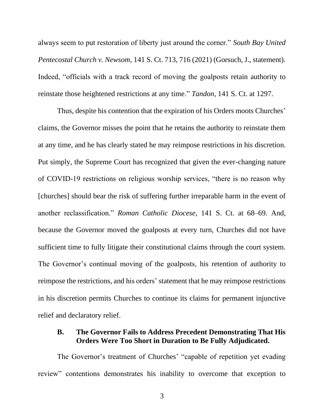always seem to put restoration of liberty just around the corner." *South Bay United Pentecostal Church v. Newsom*, 141 S. Ct. 713, 716 (2021) (Gorsuch, J., statement). Indeed, "officials with a track record of moving the goalposts retain authority to reinstate those heightened restrictions at any time." *Tandon*, 141 S. Ct. at 1297.

Thus, despite his contention that the expiration of his Orders moots Churches' claims, the Governor misses the point that he retains the authority to reinstate them at any time, and he has clearly stated he may reimpose restrictions in his discretion. Put simply, the Supreme Court has recognized that given the ever-changing nature of COVID-19 restrictions on religious worship services, "there is no reason why [churches] should bear the risk of suffering further irreparable harm in the event of another reclassification." *Roman Catholic Diocese*, 141 S. Ct. at 68–69. And, because the Governor moved the goalposts at every turn, Churches did not have sufficient time to fully litigate their constitutional claims through the court system. The Governor's continual moving of the goalposts, his retention of authority to reimpose the restrictions, and his orders' statement that he may reimpose restrictions in his discretion permits Churches to continue its claims for permanent injunctive relief and declaratory relief.

#### **B. The Governor Fails to Address Precedent Demonstrating That His Orders Were Too Short in Duration to Be Fully Adjudicated.**

The Governor's treatment of Churches' "capable of repetition yet evading review" contentions demonstrates his inability to overcome that exception to

3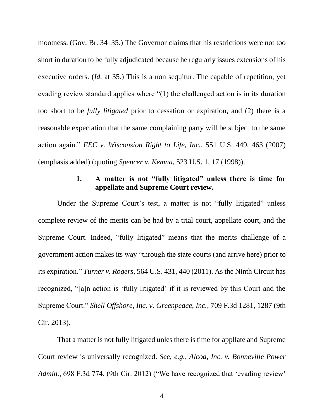mootness. (Gov. Br. 34–35.) The Governor claims that his restrictions were not too short in duration to be fully adjudicated because he regularly issues extensions of his executive orders. (*Id.* at 35.) This is a non sequitur. The capable of repetition, yet evading review standard applies where "(1) the challenged action is in its duration too short to be *fully litigated* prior to cessation or expiration, and (2) there is a reasonable expectation that the same complaining party will be subject to the same action again." *FEC v. Wisconsion Right to Life, Inc.*, 551 U.S. 449, 463 (2007) (emphasis added) (quoting *Spencer v. Kemna*, 523 U.S. 1, 17 (1998)).

### **1. A matter is not "fully litigated" unless there is time for appellate and Supreme Court review.**

Under the Supreme Court's test, a matter is not "fully litigated" unless complete review of the merits can be had by a trial court, appellate court, and the Supreme Court. Indeed, "fully litigated" means that the merits challenge of a government action makes its way "through the state courts (and arrive here) prior to its expiration." *Turner v. Rogers*, 564 U.S. 431, 440 (2011). As the Ninth Circuit has recognized, "[a]n action is 'fully litigated' if it is reviewed by this Court and the Supreme Court." *Shell Offshore, Inc. v. Greenpeace, Inc.*, 709 F.3d 1281, 1287 (9th Cir. 2013).

That a matter is not fully litigated unles there is time for appllate and Supreme Court review is universally recognized. *See, e.g.*, *Alcoa, Inc. v. Bonneville Power Admin.*, 698 F.3d 774, (9th Cir. 2012) ("We have recognized that 'evading review'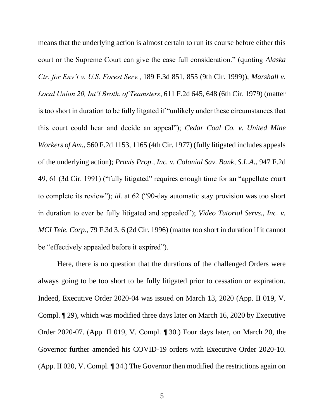means that the underlying action is almost certain to run its course before either this court or the Supreme Court can give the case full consideration." (quoting *Alaska Ctr. for Env't v. U.S. Forest Serv.*, 189 F.3d 851, 855 (9th Cir. 1999)); *Marshall v. Local Union 20, Int'l Broth. of Teamsters*, 611 F.2d 645, 648 (6th Cir. 1979) (matter is too short in duration to be fully litgated if "unlikely under these circumstances that this court could hear and decide an appeal"); *Cedar Coal Co. v. United Mine Workers of Am.*, 560 F.2d 1153, 1165 (4th Cir. 1977) (fully litigated includes appeals of the underlying action); *Praxis Prop., Inc. v. Colonial Sav. Bank, S.L.A.*, 947 F.2d 49, 61 (3d Cir. 1991) ("fully litigated" requires enough time for an "appellate court to complete its review"); *id.* at 62 ("90-day automatic stay provision was too short in duration to ever be fully litigated and appealed"); *Video Tutorial Servs., Inc. v. MCI Tele. Corp.*, 79 F.3d 3, 6 (2d Cir. 1996) (matter too short in duration if it cannot be "effectively appealed before it expired").

Here, there is no question that the durations of the challenged Orders were always going to be too short to be fully litigated prior to cessation or expiration. Indeed, Executive Order 2020-04 was issued on March 13, 2020 (App. II 019, V. Compl. ¶ 29), which was modified three days later on March 16, 2020 by Executive Order 2020-07. (App. II 019, V. Compl. ¶ 30.) Four days later, on March 20, the Governor further amended his COVID-19 orders with Executive Order 2020-10. (App. II 020, V. Compl. ¶ 34.) The Governor then modified the restrictions again on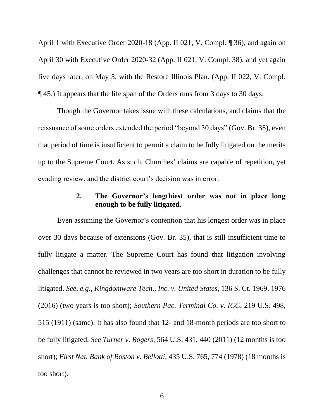April 1 with Executive Order 2020-18 (App. II 021, V. Compl. ¶ 36), and again on April 30 with Executive Order 2020-32 (App. II 021, V. Compl. 38), and yet again five days later, on May 5, with the Restore Illinois Plan. (App. II 022, V. Compl. ¶ 45.) It appears that the life span of the Orders runs from 3 days to 30 days.

Though the Governor takes issue with these calculations, and claims that the reissuance of some orders extended the period "beyond 30 days" (Gov. Br. 35), even that period of time is insufficient to permit a claim to be fully litigated on the merits up to the Supreme Court. As such, Churches' claims are capable of repetition, yet evading review, and the district court's decision was in error.

### **2. The Governor's lengthiest order was not in place long enough to be fully litigated.**

Even assuming the Governor's contention that his longest order was in place over 30 days because of extensions (Gov. Br. 35), that is still insufficient time to fully litigate a matter. The Supreme Court has found that litigation involving challenges that cannot be reviewed in two years are too short in duration to be fully litigated. *See, e.g.*, *Kingdomware Tech., Inc. v. United States*, 136 S. Ct. 1969, 1976 (2016) (two years is too short); *Southern Pac. Terminal Co. v. ICC*, 219 U.S. 498, 515 (1911) (same). It has also found that 12- and 18-month periods are too short to be fully litigated. *See Turner v. Rogers*, 564 U.S. 431, 440 (2011) (12 months is too short); *First Nat. Bank of Boston v. Bellotti*, 435 U.S. 765, 774 (1978) (18 months is too short).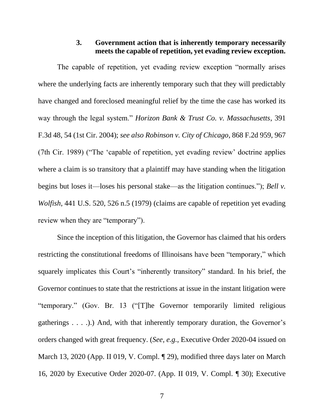### **3. Government action that is inherently temporary necessarily meets the capable of repetition, yet evading review exception.**

The capable of repetition, yet evading review exception "normally arises where the underlying facts are inherently temporary such that they will predictably have changed and foreclosed meaningful relief by the time the case has worked its way through the legal system." *Horizon Bank & Trust Co. v. Massachusetts*, 391 F.3d 48, 54 (1st Cir. 2004); *see also Robinson v. City of Chicago*, 868 F.2d 959, 967 (7th Cir. 1989) ("The 'capable of repetition, yet evading review' doctrine applies where a claim is so transitory that a plaintiff may have standing when the litigation begins but loses it—loses his personal stake—as the litigation continues."); *Bell v. Wolfish*, 441 U.S. 520, 526 n.5 (1979) (claims are capable of repetition yet evading review when they are "temporary").

Since the inception of this litigation, the Governor has claimed that his orders restricting the constitutional freedoms of Illinoisans have been "temporary," which squarely implicates this Court's "inherently transitory" standard. In his brief, the Governor continues to state that the restrictions at issue in the instant litigation were "temporary." (Gov. Br. 13 ("[T]he Governor temporarily limited religious gatherings  $\dots$ ).) And, with that inherently temporary duration, the Governor's orders changed with great frequency. (*See, e.g.*, Executive Order 2020-04 issued on March 13, 2020 (App. II 019, V. Compl. ¶ 29), modified three days later on March 16, 2020 by Executive Order 2020-07. (App. II 019, V. Compl. ¶ 30); Executive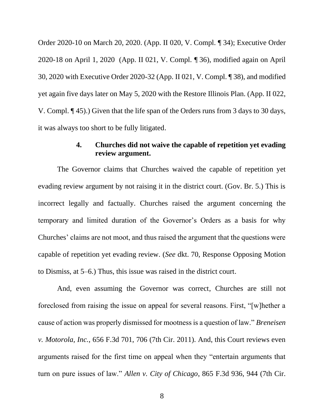Order 2020-10 on March 20, 2020. (App. II 020, V. Compl. ¶ 34); Executive Order 2020-18 on April 1, 2020 (App. II 021, V. Compl. ¶ 36), modified again on April 30, 2020 with Executive Order 2020-32 (App. II 021, V. Compl. ¶ 38), and modified yet again five days later on May 5, 2020 with the Restore Illinois Plan. (App. II 022, V. Compl. ¶ 45).) Given that the life span of the Orders runs from 3 days to 30 days, it was always too short to be fully litigated.

### **4. Churches did not waive the capable of repetition yet evading review argument.**

The Governor claims that Churches waived the capable of repetition yet evading review argument by not raising it in the district court. (Gov. Br. 5.) This is incorrect legally and factually. Churches raised the argument concerning the temporary and limited duration of the Governor's Orders as a basis for why Churches' claims are not moot, and thus raised the argument that the questions were capable of repetition yet evading review. (*See* dkt. 70, Response Opposing Motion to Dismiss, at 5–6.) Thus, this issue was raised in the district court.

And, even assuming the Governor was correct, Churches are still not foreclosed from raising the issue on appeal for several reasons. First, "[w]hether a cause of action was properly dismissed for mootness is a question of law." *Breneisen v. Motorola, Inc.*, 656 F.3d 701, 706 (7th Cir. 2011). And, this Court reviews even arguments raised for the first time on appeal when they "entertain arguments that turn on pure issues of law." *Allen v. City of Chicago*, 865 F.3d 936, 944 (7th Cir.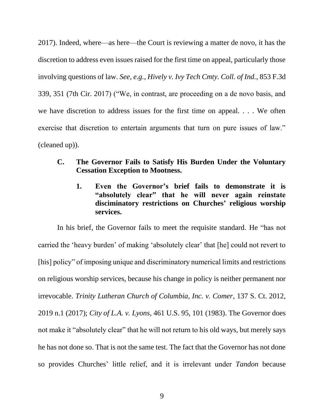2017). Indeed, where—as here—the Court is reviewing a matter de novo, it has the discretion to address even issues raised for the first time on appeal, particularly those involving questions of law. *See, e.g.*, *Hively v. Ivy Tech Cmty. Coll. of Ind.*, 853 F.3d 339, 351 (7th Cir. 2017) ("We, in contrast, are proceeding on a de novo basis, and we have discretion to address issues for the first time on appeal. . . . We often exercise that discretion to entertain arguments that turn on pure issues of law." (cleaned up)).

### **C. The Governor Fails to Satisfy His Burden Under the Voluntary Cessation Exception to Mootness.**

**1. Even the Governor's brief fails to demonstrate it is "absolutely clear" that he will never again reinstate disciminatory restrictions on Churches' religious worship services.**

In his brief, the Governor fails to meet the requisite standard. He "has not carried the 'heavy burden' of making 'absolutely clear' that [he] could not revert to [his] policy" of imposing unique and discriminatory numerical limits and restrictions on religious worship services, because his change in policy is neither permanent nor irrevocable. *Trinity Lutheran Church of Columbia, Inc. v. Comer*, 137 S. Ct. 2012, 2019 n.1 (2017); *City of L.A. v. Lyons*, 461 U.S. 95, 101 (1983). The Governor does not make it "absolutely clear" that he will not return to his old ways, but merely says he has not done so. That is not the same test. The fact that the Governor has not done so provides Churches' little relief, and it is irrelevant under *Tandon* because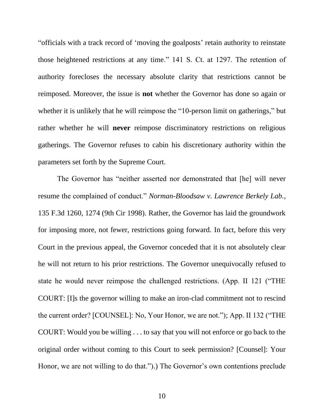"officials with a track record of 'moving the goalposts' retain authority to reinstate those heightened restrictions at any time." 141 S. Ct. at 1297. The retention of authority forecloses the necessary absolute clarity that restrictions cannot be reimposed. Moreover, the issue is **not** whether the Governor has done so again or whether it is unlikely that he will reimpose the "10-person limit on gatherings," but rather whether he will **never** reimpose discriminatory restrictions on religious gatherings. The Governor refuses to cabin his discretionary authority within the parameters set forth by the Supreme Court.

The Governor has "neither asserted nor demonstrated that [he] will never resume the complained of conduct." *Norman-Bloodsaw v. Lawrence Berkely Lab.*, 135 F.3d 1260, 1274 (9th Cir 1998). Rather, the Governor has laid the groundwork for imposing more, not fewer, restrictions going forward. In fact, before this very Court in the previous appeal, the Governor conceded that it is not absolutely clear he will not return to his prior restrictions. The Governor unequivocally refused to state he would never reimpose the challenged restrictions. (App. II 121 ("THE COURT: [I]s the governor willing to make an iron-clad commitment not to rescind the current order? [COUNSEL]: No, Your Honor, we are not."); App. II 132 ("THE COURT: Would you be willing . . . to say that you will not enforce or go back to the original order without coming to this Court to seek permission? [Counsel]: Your Honor, we are not willing to do that.").) The Governor's own contentions preclude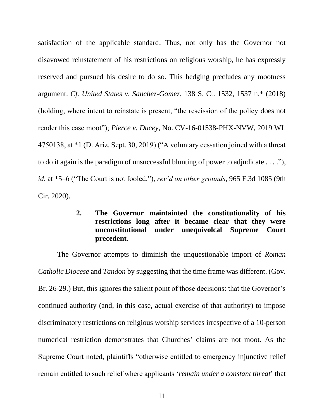satisfaction of the applicable standard. Thus, not only has the Governor not disavowed reinstatement of his restrictions on religious worship, he has expressly reserved and pursued his desire to do so. This hedging precludes any mootness argument. *Cf. United States v. Sanchez-Gomez*, 138 S. Ct. 1532, 1537 n.\* (2018) (holding, where intent to reinstate is present, "the rescission of the policy does not render this case moot"); *Pierce v. Ducey*, No. CV-16-01538-PHX-NVW, 2019 WL 4750138, at \*1 (D. Ariz. Sept. 30, 2019) ("A voluntary cessation joined with a threat to do it again is the paradigm of unsuccessful blunting of power to adjudicate . . . ."), *id.* at \*5–6 ("The Court is not fooled."), *rev'd on other grounds*, 965 F.3d 1085 (9th Cir. 2020).

### **2. The Governor maintainted the constitutionality of his restrictions long after it became clear that they were unconstitutional under unequivolcal Supreme Court precedent.**

The Governor attempts to diminish the unquestionable import of *Roman Catholic Diocese* and *Tandon* by suggesting that the time frame was different. (Gov. Br. 26-29.) But, this ignores the salient point of those decisions: that the Governor's continued authority (and, in this case, actual exercise of that authority) to impose discriminatory restrictions on religious worship services irrespective of a 10-person numerical restriction demonstrates that Churches' claims are not moot. As the Supreme Court noted, plaintiffs "otherwise entitled to emergency injunctive relief remain entitled to such relief where applicants '*remain under a constant threat*' that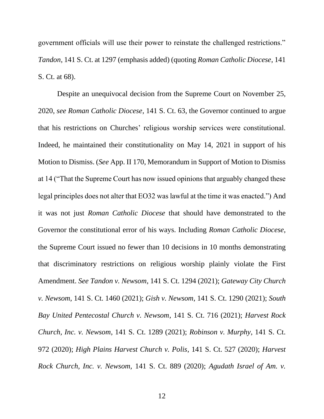government officials will use their power to reinstate the challenged restrictions." *Tandon*, 141 S. Ct. at 1297 (emphasis added) (quoting *Roman Catholic Diocese*, 141 S. Ct. at 68).

Despite an unequivocal decision from the Supreme Court on November 25, 2020, *see Roman Catholic Diocese*, 141 S. Ct. 63, the Governor continued to argue that his restrictions on Churches' religious worship services were constitutional. Indeed, he maintained their constitutionality on May 14, 2021 in support of his Motion to Dismiss. (*See* App. II 170, Memorandum in Support of Motion to Dismiss at 14 ("That the Supreme Court has now issued opinions that arguably changed these legal principles does not alter that EO32 was lawful at the time it was enacted.") And it was not just *Roman Catholic Diocese* that should have demonstrated to the Governor the constitutional error of his ways. Including *Roman Catholic Diocese*, the Supreme Court issued no fewer than 10 decisions in 10 months demonstrating that discriminatory restrictions on religious worship plainly violate the First Amendment. *See Tandon v. Newsom*, 141 S. Ct. 1294 (2021); *Gateway City Church v. Newsom*, 141 S. Ct. 1460 (2021); *Gish v. Newsom*, 141 S. Ct. 1290 (2021); *South Bay United Pentecostal Church v. Newsom*, 141 S. Ct. 716 (2021); *Harvest Rock Church, Inc. v. Newsom*, 141 S. Ct. 1289 (2021); *Robinson v. Murphy*, 141 S. Ct. 972 (2020); *High Plains Harvest Church v. Polis*, 141 S. Ct. 527 (2020); *Harvest Rock Church, Inc. v. Newsom,* 141 S. Ct. 889 (2020); *Agudath Israel of Am. v.*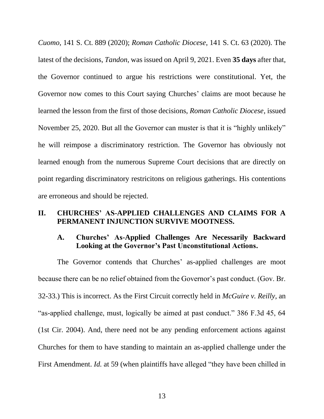*Cuomo*, 141 S. Ct. 889 (2020); *Roman Catholic Diocese*, 141 S. Ct. 63 (2020). The latest of the decisions, *Tandon*, was issued on April 9, 2021. Even **35 days** after that, the Governor continued to argue his restrictions were constitutional. Yet, the Governor now comes to this Court saying Churches' claims are moot because he learned the lesson from the first of those decisions, *Roman Catholic Diocese*, issued November 25, 2020. But all the Governor can muster is that it is "highly unlikely" he will reimpose a discriminatory restriction. The Governor has obviously not learned enough from the numerous Supreme Court decisions that are directly on point regarding discriminatory restricitons on religious gatherings. His contentions are erroneous and should be rejected.

#### **II. CHURCHES' AS-APPLIED CHALLENGES AND CLAIMS FOR A PERMANENT INJUNCTION SURVIVE MOOTNESS.**

### **A. Churches' As-Applied Challenges Are Necessarily Backward Looking at the Governor's Past Unconstitutional Actions.**

The Governor contends that Churches' as-applied challenges are moot because there can be no relief obtained from the Governor's past conduct. (Gov. Br. 32-33.) This is incorrect. As the First Circuit correctly held in *McGuire v. Reilly*, an "as-applied challenge, must, logically be aimed at past conduct." 386 F.3d 45, 64 (1st Cir. 2004). And, there need not be any pending enforcement actions against Churches for them to have standing to maintain an as-applied challenge under the First Amendment. *Id.* at 59 (when plaintiffs have alleged "they have been chilled in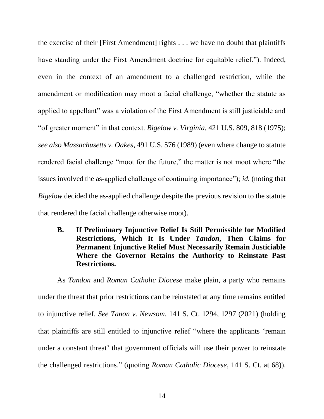the exercise of their [First Amendment] rights . . . we have no doubt that plaintiffs have standing under the First Amendment doctrine for equitable relief."). Indeed, even in the context of an amendment to a challenged restriction, while the amendment or modification may moot a facial challenge, "whether the statute as applied to appellant" was a violation of the First Amendment is still justiciable and "of greater moment" in that context. *Bigelow v. Virginia*, 421 U.S. 809, 818 (1975); *see also Massachusetts v. Oakes*, 491 U.S. 576 (1989) (even where change to statute rendered facial challenge "moot for the future," the matter is not moot where "the issues involved the as-applied challenge of continuing importance"); *id.* (noting that *Bigelow* decided the as-applied challenge despite the previous revision to the statute that rendered the facial challenge otherwise moot).

**B. If Preliminary Injunctive Relief Is Still Permissible for Modified Restrictions, Which It Is Under** *Tandon***, Then Claims for Permanent Injunctive Relief Must Necessarily Remain Justiciable Where the Governor Retains the Authority to Reinstate Past Restrictions.**

As *Tandon* and *Roman Catholic Diocese* make plain, a party who remains under the threat that prior restrictions can be reinstated at any time remains entitled to injunctive relief. *See Tanon v. Newsom*, 141 S. Ct. 1294, 1297 (2021) (holding that plaintiffs are still entitled to injunctive relief "where the applicants 'remain under a constant threat' that government officials will use their power to reinstate the challenged restrictions." (quoting *Roman Catholic Diocese*, 141 S. Ct. at 68)).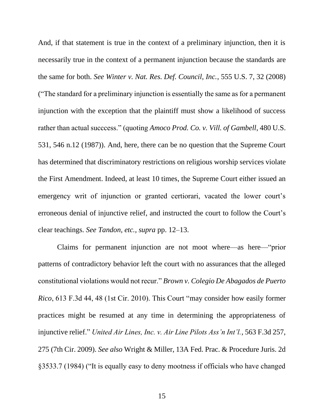And, if that statement is true in the context of a preliminary injunction, then it is necessarily true in the context of a permanent injunction because the standards are the same for both. *See Winter v. Nat. Res. Def. Council, Inc.*, 555 U.S. 7, 32 (2008) ("The standard for a preliminary injunction is essentially the same as for a permanent injunction with the exception that the plaintiff must show a likelihood of success rather than actual succcess." (quoting *Amoco Prod. Co. v. Vill. of Gambell*, 480 U.S. 531, 546 n.12 (1987)). And, here, there can be no question that the Supreme Court has determined that discriminatory restrictions on religious worship services violate the First Amendment. Indeed, at least 10 times, the Supreme Court either issued an emergency writ of injunction or granted certiorari, vacated the lower court's erroneous denial of injunctive relief, and instructed the court to follow the Court's clear teachings. *See Tandon, etc., supra* pp. 12–13.

Claims for permanent injunction are not moot where—as here—"prior patterns of contradictory behavior left the court with no assurances that the alleged constitutional violations would not recur." *Brown v. Colegio De Abagados de Puerto Rico*, 613 F.3d 44, 48 (1st Cir. 2010). This Court "may consider how easily former practices might be resumed at any time in determining the appropriateness of injunctive relief." *United Air Lines, Inc. v. Air Line Pilots Ass'n Int'l.*, 563 F.3d 257, 275 (7th Cir. 2009). *See also* Wright & Miller, 13A Fed. Prac. & Procedure Juris. 2d §3533.7 (1984) ("It is equally easy to deny mootness if officials who have changed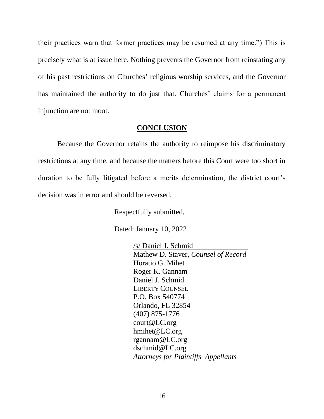their practices warn that former practices may be resumed at any time.") This is precisely what is at issue here. Nothing prevents the Governor from reinstating any of his past restrictions on Churches' religious worship services, and the Governor has maintained the authority to do just that. Churches' claims for a permanent injunction are not moot.

#### **CONCLUSION**

Because the Governor retains the authority to reimpose his discriminatory restrictions at any time, and because the matters before this Court were too short in duration to be fully litigated before a merits determination, the district court's decision was in error and should be reversed.

Respectfully submitted,

Dated: January 10, 2022

/s/ Daniel J. Schmid Mathew D. Staver, *Counsel of Record* Horatio G. Mihet Roger K. Gannam Daniel J. Schmid LIBERTY COUNSEL P.O. Box 540774 Orlando, FL 32854 (407) 875-1776 court@LC.org hmihet@LC.org rgannam@LC.org dschmid@LC.org *Attorneys for Plaintiffs–Appellants*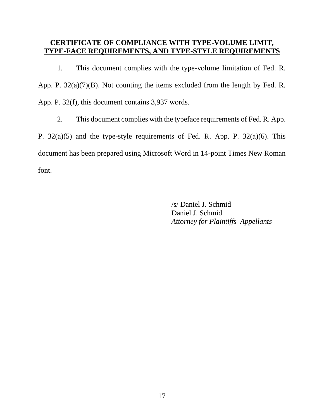### **CERTIFICATE OF COMPLIANCE WITH TYPE-VOLUME LIMIT, TYPE-FACE REQUIREMENTS, AND TYPE-STYLE REQUIREMENTS**

1. This document complies with the type-volume limitation of Fed. R. App. P. 32(a)(7)(B). Not counting the items excluded from the length by Fed. R. App. P. 32(f), this document contains 3,937 words.

2. This document complies with the typeface requirements of Fed. R. App. P. 32(a)(5) and the type-style requirements of Fed. R. App. P. 32(a)(6). This document has been prepared using Microsoft Word in 14-point Times New Roman font.

> /s/ Daniel J. Schmid Daniel J. Schmid *Attorney for Plaintiffs–Appellants*